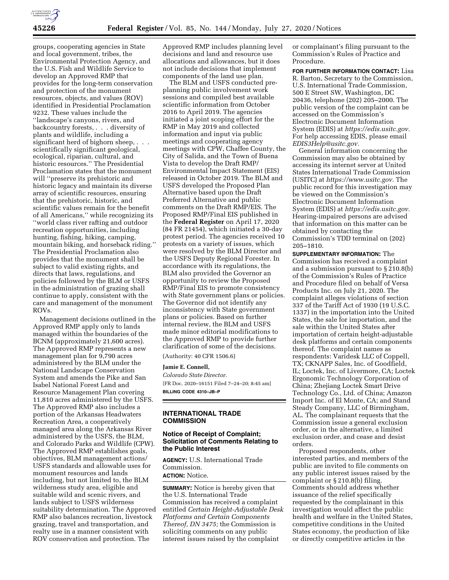

groups, cooperating agencies in State and local government, tribes, the Environmental Protection Agency, and the U.S. Fish and Wildlife Service to develop an Approved RMP that provides for the long-term conservation and protection of the monument resources, objects, and values (ROV) identified in Presidential Proclamation 9232. These values include the ''landscape's canyons, rivers, and backcountry forests, . . . diversity of plants and wildlife, including a significant herd of bighorn sheep, . . . scientifically significant geological, ecological, riparian, cultural, and historic resources.'' The Presidential Proclamation states that the monument will ''preserve its prehistoric and historic legacy and maintain its diverse array of scientific resources, ensuring that the prehistoric, historic, and scientific values remain for the benefit of all Americans,'' while recognizing its ''world class river rafting and outdoor recreation opportunities, including hunting, fishing, hiking, camping, mountain biking, and horseback riding.'' The Presidential Proclamation also provides that the monument shall be subject to valid existing rights, and directs that laws, regulations, and policies followed by the BLM or USFS in the administration of grazing shall continue to apply, consistent with the care and management of the monument ROVs.

Management decisions outlined in the Approved RMP apply only to lands managed within the boundaries of the BCNM (approximately 21,600 acres). The Approved RMP represents a new management plan for 9,790 acres administered by the BLM under the National Landscape Conservation System and amends the Pike and San Isabel National Forest Land and Resource Management Plan covering 11,810 acres administered by the USFS. The Approved RMP also includes a portion of the Arkansas Headwaters Recreation Area, a cooperatively managed area along the Arkansas River administered by the USFS, the BLM, and Colorado Parks and Wildlife (CPW). The Approved RMP establishes goals, objectives, BLM management actions/ USFS standards and allowable uses for monument resources and lands including, but not limited to, the BLM wilderness study area, eligible and suitable wild and scenic rivers, and lands subject to USFS wilderness suitability determination. The Approved RMP also balances recreation, livestock grazing, travel and transportation, and realty use in a manner consistent with ROV conservation and protection. The

Approved RMP includes planning level decisions and land and resource use allocations and allowances, but it does not include decisions that implement components of the land use plan.

The BLM and USFS conducted preplanning public involvement work sessions and compiled best available scientific information from October 2016 to April 2019. The agencies initiated a joint scoping effort for the RMP in May 2019 and collected information and input via public meetings and cooperating agency meetings with CPW, Chaffee County, the City of Salida, and the Town of Buena Vista to develop the Draft RMP/ Environmental Impact Statement (EIS) released in October 2019. The BLM and USFS developed the Proposed Plan Alternative based upon the Draft Preferred Alternative and public comments on the Draft RMP/EIS. The Proposed RMP/Final EIS published in the **Federal Register** on April 17, 2020 (84 FR 21454), which initiated a 30-day protest period. The agencies received 10 protests on a variety of issues, which were resolved by the BLM Director and the USFS Deputy Regional Forester. In accordance with its regulations, the BLM also provided the Governor an opportunity to review the Proposed RMP/Final EIS to promote consistency with State government plans or policies. The Governor did not identify any inconsistency with State government plans or policies. Based on further internal review, the BLM and USFS made minor editorial modifications to the Approved RMP to provide further clarification of some of the decisions.

(Authority: 40 CFR 1506.6)

## **Jamie E. Connell,**

*Colorado State Director.*  [FR Doc. 2020–16151 Filed 7–24–20; 8:45 am] **BILLING CODE 4310–JB–P** 

## **INTERNATIONAL TRADE COMMISSION**

### **Notice of Receipt of Complaint; Solicitation of Comments Relating to the Public Interest**

**AGENCY:** U.S. International Trade Commission. **ACTION:** Notice.

**SUMMARY:** Notice is hereby given that the U.S. International Trade Commission has received a complaint entitled *Certain Height-Adjustable Desk Platforms and Certain Components Thereof, DN 3475;* the Commission is soliciting comments on any public interest issues raised by the complaint

or complainant's filing pursuant to the Commission's Rules of Practice and Procedure.

**FOR FURTHER INFORMATION CONTACT:** Lisa R. Barton, Secretary to the Commission, U.S. International Trade Commission, 500 E Street SW, Washington, DC 20436, telephone (202) 205–2000. The public version of the complaint can be accessed on the Commission's Electronic Document Information System (EDIS) at *[https://edis.usitc.gov.](https://edis.usitc.gov)*  For help accessing EDIS, please email *[EDIS3Help@usitc.gov.](mailto:EDIS3Help@usitc.gov)* 

General information concerning the Commission may also be obtained by accessing its internet server at United States International Trade Commission (USITC) at *[https://www.usitc.gov.](https://www.usitc.gov)* The public record for this investigation may be viewed on the Commission's Electronic Document Information System (EDIS) at *[https://edis.usitc.gov.](https://edis.usitc.gov)*  Hearing-impaired persons are advised that information on this matter can be obtained by contacting the Commission's TDD terminal on (202) 205–1810.

**SUPPLEMENTARY INFORMATION:** The Commission has received a complaint and a submission pursuant to § 210.8(b) of the Commission's Rules of Practice and Procedure filed on behalf of Versa Products Inc. on July 21, 2020. The complaint alleges violations of section 337 of the Tariff Act of 1930 (19 U.S.C. 1337) in the importation into the United States, the sale for importation, and the sale within the United States after importation of certain height-adjustable desk platforms and certain components thereof. The complaint names as respondents: Varidesk LLC of Coppell, TX; CKNAPP Sales, Inc. of Goodfield, IL; Loctek, Inc. of Livermore, CA; Loctek Ergonomic Technology Corporation of China; Zhejiang Loctek Smart Drive Technology Co., Ltd. of China; Amazon Import Inc. of El Monte, CA; and Stand Steady Company, LLC of Birmingham, AL. The complainant requests that the Commission issue a general exclusion order, or in the alternative, a limited exclusion order, and cease and desist orders.

Proposed respondents, other interested parties, and members of the public are invited to file comments on any public interest issues raised by the complaint or § 210.8(b) filing. Comments should address whether issuance of the relief specifically requested by the complainant in this investigation would affect the public health and welfare in the United States, competitive conditions in the United States economy, the production of like or directly competitive articles in the